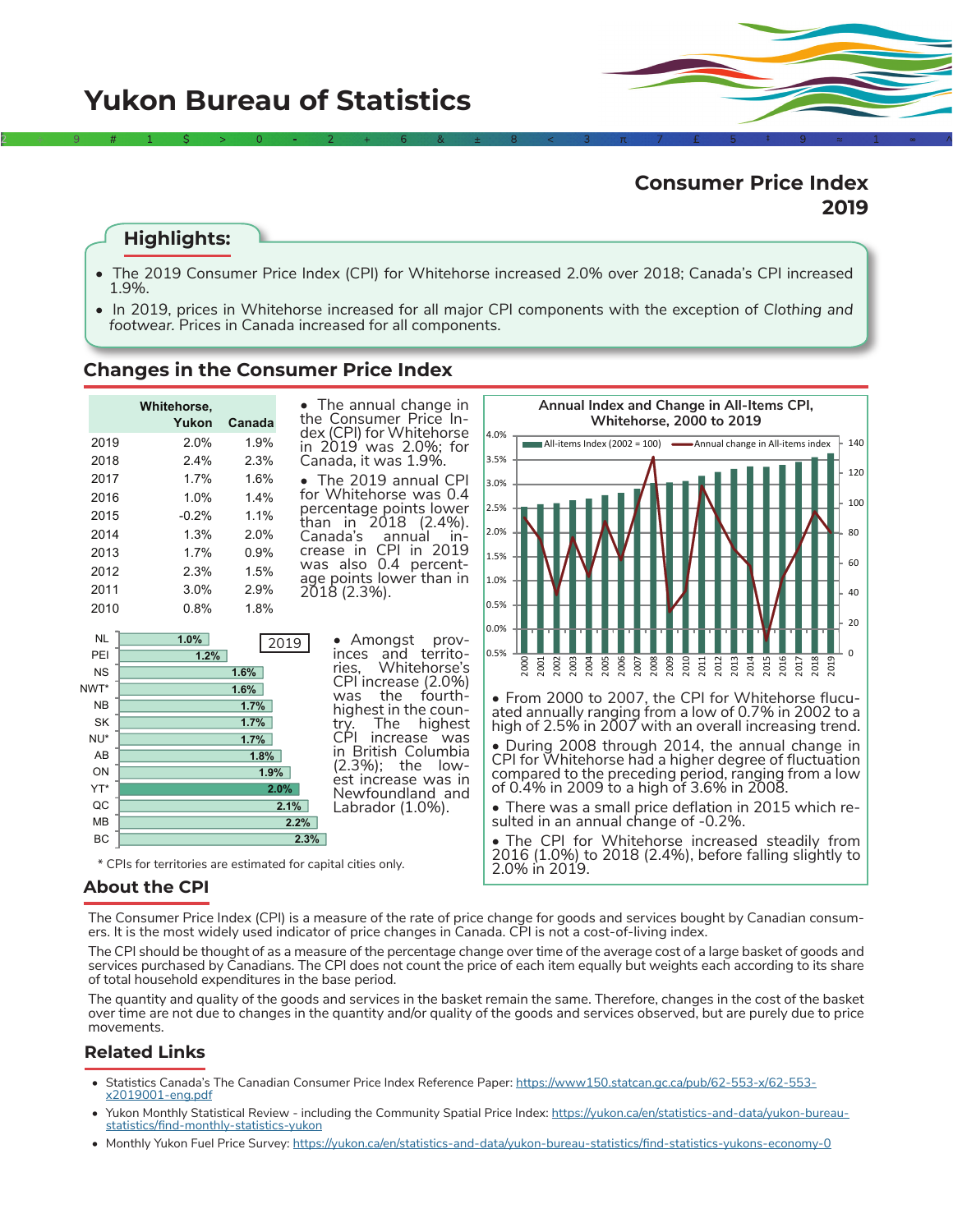# **Consumer Price Index 2019**

### **Highlights:**

• The 2019 Consumer Price Index (CPI) for Whitehorse increased 2.0% over 2018; Canada's CPI increased 1.9%.

 $2$   $\rightarrow$  9  $\#$  1  $\zeta$   $>$   $\gg$  0  $\sim$   $\gg$  2  $+$  6 &  $\pm$  6  $8$   $\pm$  8  $\sim$  3  $\gg$   $\pi$   $\gg$   $\sim$  5  $\pm$  9  $\approx$  1  $\sim$  ^

• In 2019, prices in Whitehorse increased for all major CPI components with the exception of *Clothing and footwear.* Prices in Canada increased for all components.

### **Changes in the Consumer Price Index**

|                  | Whitehorse,<br>Yukon | Canada | • The annual change in<br>the Consumer Price In-                      | Annual Index and Change in All-Items CPI,<br><b>Whitehorse, 2000 to 2019</b>                                                                                        |  |  |  |  |  |  |  |  |  |
|------------------|----------------------|--------|-----------------------------------------------------------------------|---------------------------------------------------------------------------------------------------------------------------------------------------------------------|--|--|--|--|--|--|--|--|--|
| 2019             | 2.0%                 | 1.9%   | dex (CPI) for Whitehorse<br>in 2019 was 2.0%: for                     | 4.0%<br>140<br>$\blacksquare$ All-items Index (2002 = 100) $\blacksquare$ Annual change in All-items index                                                          |  |  |  |  |  |  |  |  |  |
| 2018             | 2.4%                 | 2.3%   | Canada, it was 1.9%.                                                  | 3.5%                                                                                                                                                                |  |  |  |  |  |  |  |  |  |
| 2017             | 1.7%                 | 1.6%   | • The 2019 annual CPI                                                 | 120<br>3.0%                                                                                                                                                         |  |  |  |  |  |  |  |  |  |
| 2016             | 1.0%                 | 1.4%   | for Whitehorse was 0.4                                                | 100                                                                                                                                                                 |  |  |  |  |  |  |  |  |  |
| 2015             | $-0.2%$              | 1.1%   | percentage points lower<br>than in 2018 (2.4%).                       | 2.5%                                                                                                                                                                |  |  |  |  |  |  |  |  |  |
| 2014             | 1.3%                 | 2.0%   | Canada's<br>annual<br>$In-$                                           | 2.0%<br>80                                                                                                                                                          |  |  |  |  |  |  |  |  |  |
| 2013             | 1.7%                 | 0.9%   | CPI in 2019<br>crease in                                              | 1.5%                                                                                                                                                                |  |  |  |  |  |  |  |  |  |
| 2012             | 2.3%                 | 1.5%   | was also 0.4 percent-<br>age points lower than in                     | 60                                                                                                                                                                  |  |  |  |  |  |  |  |  |  |
| 2011             | 3.0%                 | 2.9%   | 2018 (2.3%).                                                          | 1.0%<br>40                                                                                                                                                          |  |  |  |  |  |  |  |  |  |
| 2010             | 0.8%                 | 1.8%   |                                                                       | 0.5%                                                                                                                                                                |  |  |  |  |  |  |  |  |  |
| <b>NL</b><br>PEI | 1.0%<br>1.2%         |        | Amongst<br>prov-<br>2019<br>territo-<br>inces<br>and                  | 20<br>0.0%<br>0.5%                                                                                                                                                  |  |  |  |  |  |  |  |  |  |
| <b>NS</b>        |                      | 1.6%   | Whitehorse's<br>ries.                                                 | 2003<br>2015<br>2016<br>2000<br>2002<br>2005<br>2006<br>2008<br>2009<br>2010<br>2013<br>2014<br>2001<br>2004<br>2011<br>2012<br>2019<br>2017<br>2007<br>$\tilde{z}$ |  |  |  |  |  |  |  |  |  |
| NWT*             |                      | 1.6%   | CPI increase (2.0%)                                                   |                                                                                                                                                                     |  |  |  |  |  |  |  |  |  |
| <b>NB</b>        |                      | 1.7%   | the<br>fourth-<br>was<br>highest in the coun-                         | • From 2000 to 2007, the CPI for Whitehorse flucu-                                                                                                                  |  |  |  |  |  |  |  |  |  |
| <b>SK</b>        |                      | 1.7%   | The<br>highest<br>trv.                                                | ated annually ranging from a low of 0.7% in 2002 to a<br>high of 2.5% in 2007 with an overall increasing trend.                                                     |  |  |  |  |  |  |  |  |  |
| NU <sup>*</sup>  |                      | 1.7%   | CP<br>increase was                                                    | • During 2008 through 2014, the annual change in                                                                                                                    |  |  |  |  |  |  |  |  |  |
| AB               |                      | 1.8%   | British Columbia<br>In<br>(2.3%); the<br>low-                         | CPI for Whitehorse had a higher degree of fluctuation                                                                                                               |  |  |  |  |  |  |  |  |  |
| ON               |                      | 1.9%   | est increase was in                                                   | compared to the preceding period, ranging from a low                                                                                                                |  |  |  |  |  |  |  |  |  |
| YT*              |                      |        | 2.0%<br>Newfoundland and                                              | of 0.4% in 2009 to a high of 3.6% in 2008.                                                                                                                          |  |  |  |  |  |  |  |  |  |
| QC               |                      |        | 2.1%<br>Labrador (1.0%).                                              | • There was a small price deflation in 2015 which re-                                                                                                               |  |  |  |  |  |  |  |  |  |
| <b>MB</b><br>BC  |                      |        | 2.2%                                                                  | sulted in an annual change of -0.2%.                                                                                                                                |  |  |  |  |  |  |  |  |  |
|                  |                      |        | 2.3%<br>* CPIs for territories are estimated for capital cities only. | • The CPI for Whitehorse increased steadily from<br>2016 (1.0%) to 2018 (2.4%), before falling slightly to<br>2.0% in 2019.                                         |  |  |  |  |  |  |  |  |  |

### **About the CPI**

The Consumer Price Index (CPI) is a measure of the rate of price change for goods and services bought by Canadian consumers. It is the most widely used indicator of price changes in Canada. CPI is not a cost-of-living index.

The CPI should be thought of as a measure of the percentage change over time of the average cost of a large basket of goods and services purchased by Canadians. The CPI does not count the price of each item equally but weights each according to its share of total household expenditures in the base period.

The quantity and quality of the goods and services in the basket remain the same. Therefore, changes in the cost of the basket over time are not due to changes in the quantity and/or quality of the goods and services observed, but are purely due to price movements.

### **Related Links**

- Statistics Canada's The Canadian Consumer Price Index Reference Paper: [https://www150.statcan.gc.ca/pub/62-553-x/62-553](https://www150.statcan.gc.ca/pub/62-553-x/62-553-x2019001-eng.pdf) [x2019001-eng.pdf](https://www150.statcan.gc.ca/pub/62-553-x/62-553-x2019001-eng.pdf)
- Yukon Monthly Statistical Review including the Community Spatial Price Index: [https://yukon.ca/en/statistics-and-data/yukon-bureau](https://yukon.ca/en/statistics-and-data/yukon-bureau-statistics/find-monthly-statistics-yukon)[statistics/find-monthly-statistics-yukon](https://yukon.ca/en/statistics-and-data/yukon-bureau-statistics/find-monthly-statistics-yukon)
- Monthly Yukon Fuel Price Survey: <https://yukon.ca/en/statistics-and-data/yukon-bureau-statistics/find-statistics-yukons-economy-0>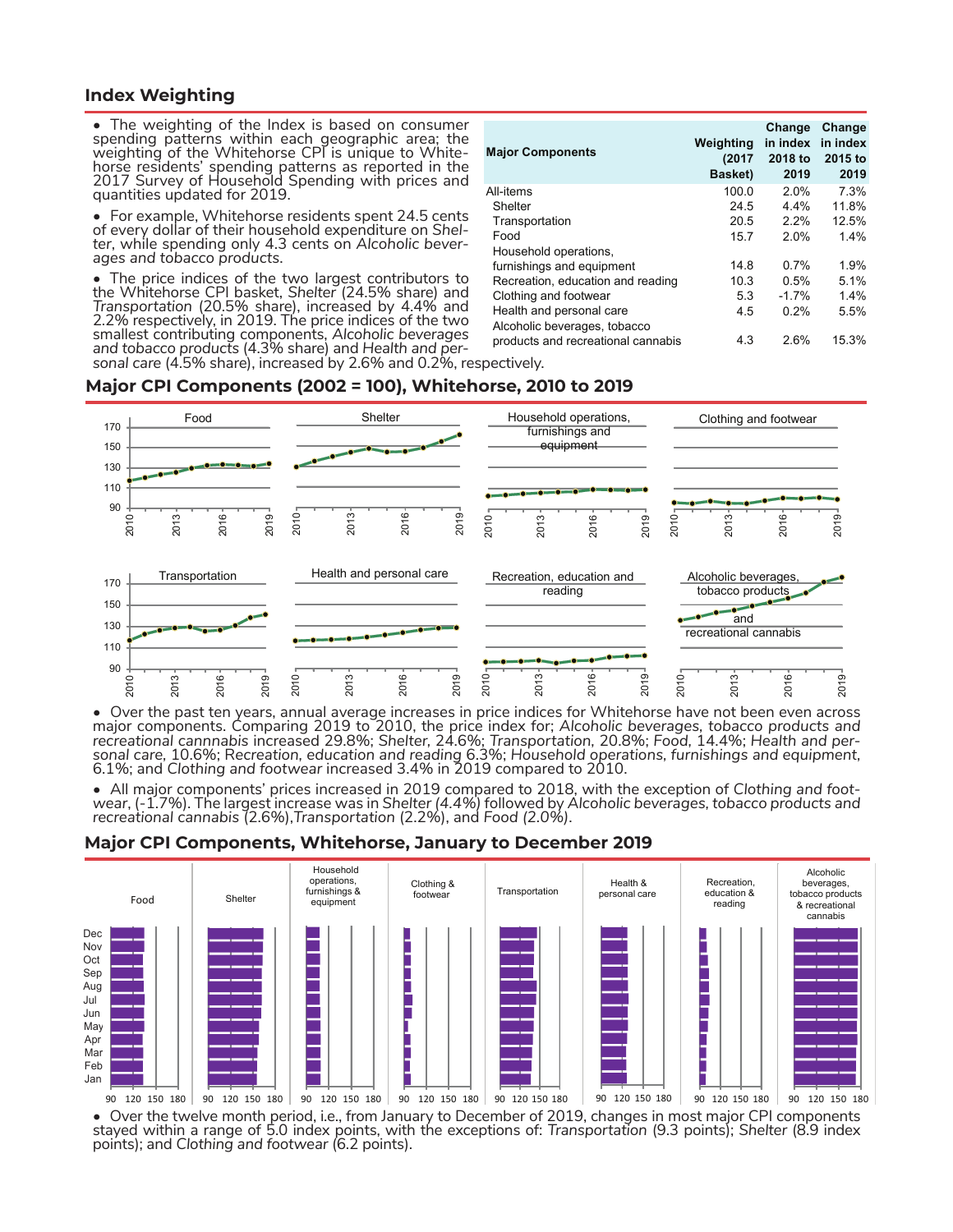### **Index Weighting**

• The weighting of the Index is based on consumer spending patterns within each geographic area; the weighting of the Whitehorse CPI is unique to Whiteweighting of the Whitehorse CPI is unique to White-<br>horse residents' spending patterns as reported in the 2017 Survey of Household Spending with prices and quantities updated for 2019.

• For example, Whitehorse residents spent 24.5 cents of every dollar of their household expenditure on Shelof every dollar of their household expenditure on *Shel- ter*, while spending only 4.3 cents on *Alcoholic bever- ages and tobacco products*.

• The price indices of the two largest contributors to the Whitehorse CPI basket, *Shelter* (24.5% share) and *Transportation* (20.5% share), increased by 4.4% and 2.2% respectively, in 2019. The price indices of the two smallest contributing components, *Alcoholic beverages and tobacco products* (4.3% share) and *Health and per- sonal care* (4.5% share), increased by 2.6% and 0.2%, respectively.

| <b>Major Components</b>                                  | Weighting<br>(2017)<br>Basket) | Change<br>in index<br>2018 to<br>2019 | Change<br>in index<br>2015 to<br>2019 |
|----------------------------------------------------------|--------------------------------|---------------------------------------|---------------------------------------|
| All-items                                                | 100.0                          | 2.0%                                  | 7.3%                                  |
| Shelter                                                  | 24.5                           | $4.4\%$                               | 11.8%                                 |
| Transportation                                           | 20.5                           | 2.2%                                  | 12.5%                                 |
| Food                                                     | 15.7                           | 2.0%                                  | 1.4%                                  |
| Household operations,                                    |                                |                                       |                                       |
| furnishings and equipment                                | 14.8                           | 0.7%                                  | 1.9%                                  |
| Recreation, education and reading                        | 10.3                           | 0.5%                                  | 51%                                   |
| Clothing and footwear                                    | 5.3                            | $-1.7%$                               | 1.4%                                  |
| Health and personal care<br>Alcoholic beverages, tobacco | 4.5                            | 0.2%                                  | 5.5%                                  |
| products and recreational cannabis                       | 4.3                            | 2.6%                                  | 15.3%                                 |

#### **Major CPI Components (2002 = 100), Whitehorse, 2010 to 2019**



• Over the past ten years, annual average increases in price indices for Whitehorse have not been even across major components. Comparing 2019 to 2010, the price index for; *Alcoholic beverages, tobacco products and*  recreational cannnabis increased 29.8%; Shelter, 24.6%; Transportation, 20.8%; Food, 14.4%; Health and per-<br>sonal care, 10.6%; Recreation, education and reading 6.3%; Household operations, furnishings and equipment,<br>6.1%;

 $\bullet$  All major components' prices increased in 2019 compared to 2018, with the exception of Clothing and foot-<br>wear, (-1.7%). The largest increase was in Shelter (4.4%) followed by Alcoholic beverages, tobacco products an *recreational cannabis* (2.6%),*Transportation* (2.2%), and *Food (2.0%)*.

#### **Major CPI Components, Whitehorse, January to December 2019**



• Over the twelve month period, i.e., from January to December of 2019, changes in most major CPI components stayed within a range of 5.0 index points, with the exceptions of: Transportation (9.3 points); Shelter (8.9 index<br>points); and Clothing and footwear (6.2 points).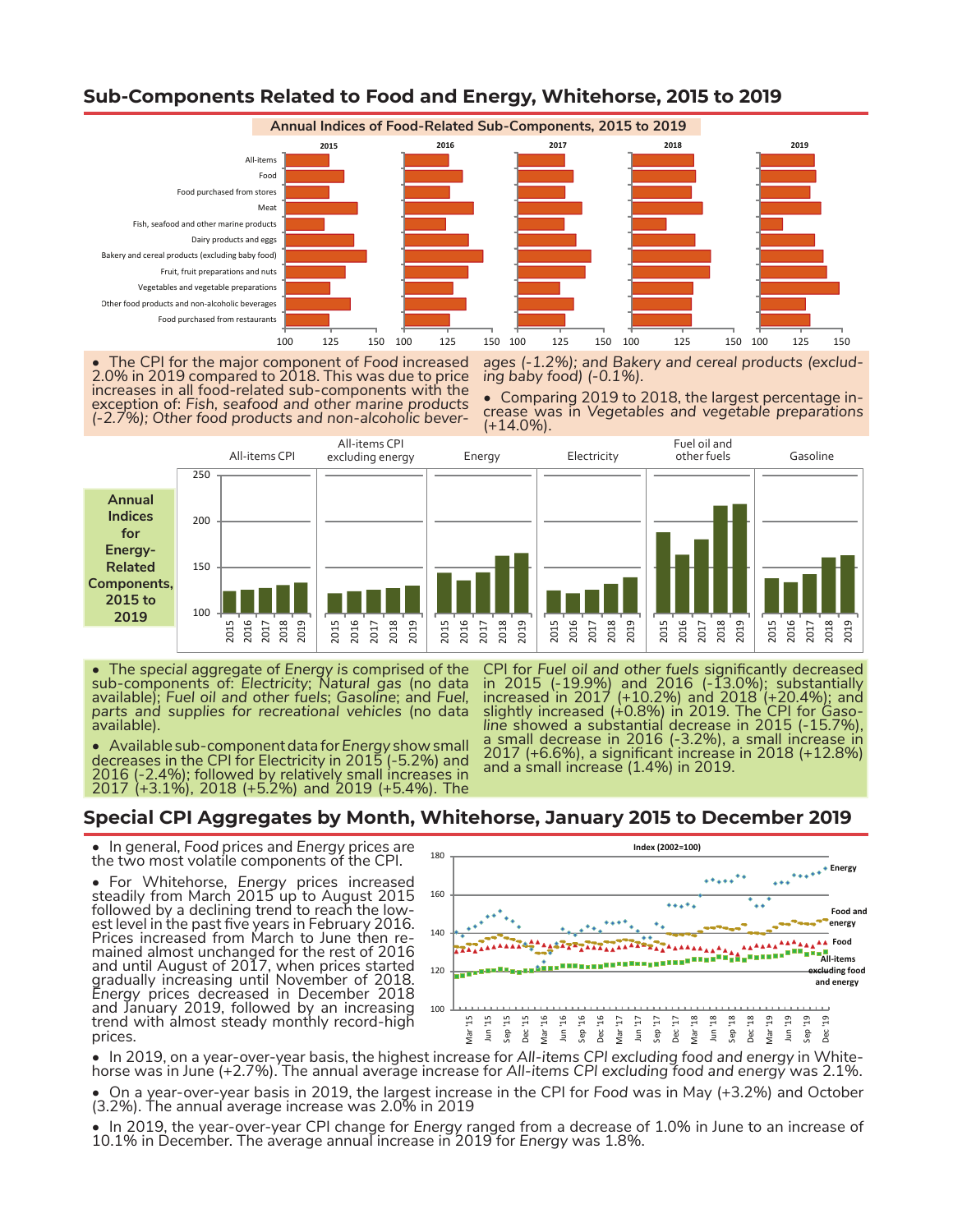

## **Sub-Components Related to Food and Energy, Whitehorse, 2015 to 2019**

The CPI for the major component of Food increased 2.0% in 2019 compared to 2018. This was due to price increases in all food-related sub-components with the exception of: *Fish, seafood and other marine products (-2.7%); Other food products and non-alcoholic bever-* *ages (-1.2%); and Bakery and cereal products (exclud- ing baby food) (-0.1%).*

• Comparing 2019 to 2018, the largest percentage in- crease was in *Vegetables and vegetable preparations* (+14.0%).



• The *special* aggregate of *Energy i*s comprised of the sub-components of: *Electricity*; *Natural gas* (no data available); *Fuel oil and other fuels*; *Gasoline*; and *Fuel, parts and supplies for recreational vehicles* (no data available).

in 2015 (-19.9%) and 2016 (-13.0%); substantially increased in 2017 (+10.2%) and 2018 (+20.4%); and slightly increased (+0.8%) in 2019. The CPI for *Gaso- line* showed a substantial decrease in 2015 (-15.7%), a small decrease in 2016 (-3.2%), a small increase in a small decrease in 2016 (-3.2%), a small increase in 2017 (+6.6%), a significant increase in 2018 (+12.8%) and a small increase (1.4%) in 2019.

CPI for *Fuel oil and other fuels* significantly decreased

• Available sub-component data for *Energy* show small decreases in the CPI for Electricity in 2015 (-5.2%) and 2016 (-2.4%); followed by relatively small increases in 2017 (+3.1%), 2018 (+5.2%) and 2019 (+5.4%). The

## **Special CPI Aggregates by Month, Whitehorse, January 2015 to December 2019**

• In general, *Food* prices and *Energy* prices are the two most volatile components of the CPI.

• For Whitehorse, *Energy* prices increased steadily from March 2015 up to August 2015 followed by a declining trend to reach the low-<br>est level in the past five years in February 2016. Prices increased from March to June then re- mained almost unchanged for the rest of 2016 and until August of 2017, when prices started gradually increasing until November of 2018. *Energy* prices decreased in December 2018 and January 2019, followed by an increasing trend with almost steady monthly record-high prices.



• In 2019, on a year-over-year basis, the highest increase for All-items CPI excluding food and energy in White-<br>horse was in June (+2.7%). The annual average increase for All-items CPI excluding food and energy was 2.1%.

• On a year-over-year basis in 2019, the largest increase in the CPI for *Food* was in May (+3.2%) and October (3.2%). The annual average increase was 2.0% in 2019

• In 2019, the year-over-year CPI change for *Energy* ranged from a decrease of 1.0% in June to an increase of 10.1% in December. The average annual increase in 2019 for *Energy* was 1.8%.